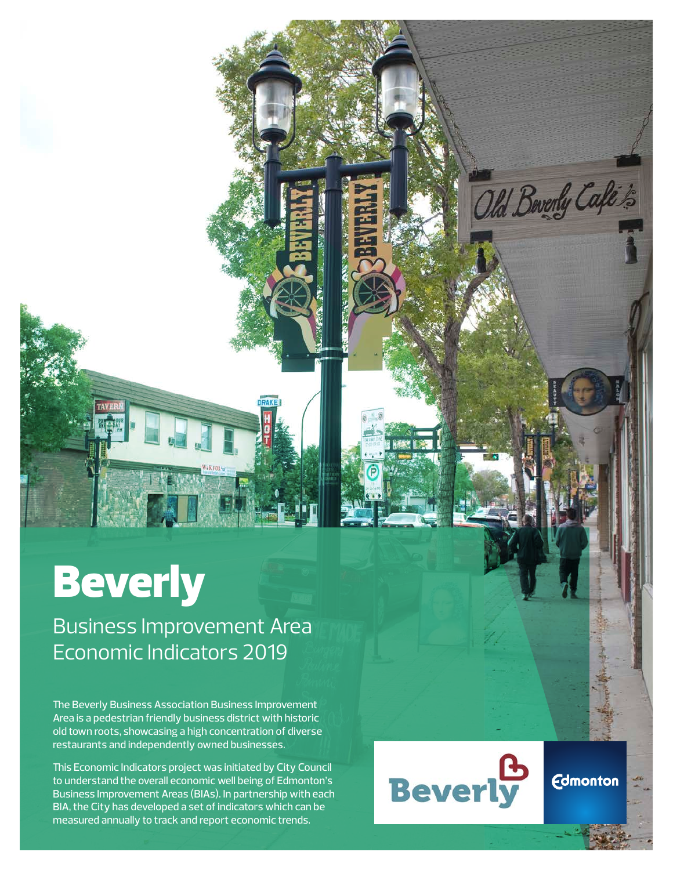**Beverly** 

Business Improvement Area Economic Indicators 2019

The Beverly Business Association Business Improvement Area is a pedestrian friendly business district with historic old town roots, showcasing a high concentration of diverse restaurants and independently owned businesses.

This Economic Indicators project was initiated by City Council to understand the overall economic well being of Edmonton's Business Improvement Areas (BIAs). In partnership with each BIA, the City has developed a set of indicators which can be measured annually to track and report economic trends.



**Edmonton** 

Old Bwerly Café's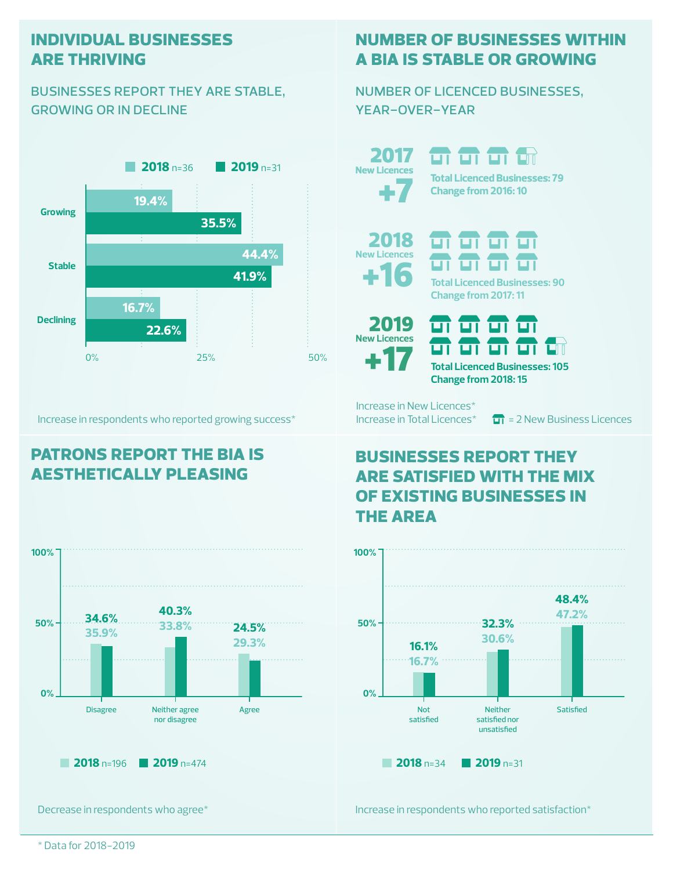## **individual businesses are thriving**

### businesses report they are stable, growing or in decline



Increase in respondents who reported growing success\*

# **patrons report the bia is aesthetically pleasing**



Decrease in respondents who agree\*

**number of businesses within a bia is stable or growing**

number of licenced businesses, year-over-year

**Total Licenced Businesses: 79 Change from 2016: 10 Change from 2017: 11** +7 2017 **New Licences** 2019 +16 2018 **New Licences**





न न न न ण ण ण ण **Total Licenced Businesses: 105 Change from 2018: 15**

Increase in New Licences\*

Increase in Total Licences<sup>\*</sup>  $\boxed{11}$  = 2 New Business Licences

# **businesses report they are satisfied with the mix of existing businesses in the area**



Increase in respondents who reported satisfaction\*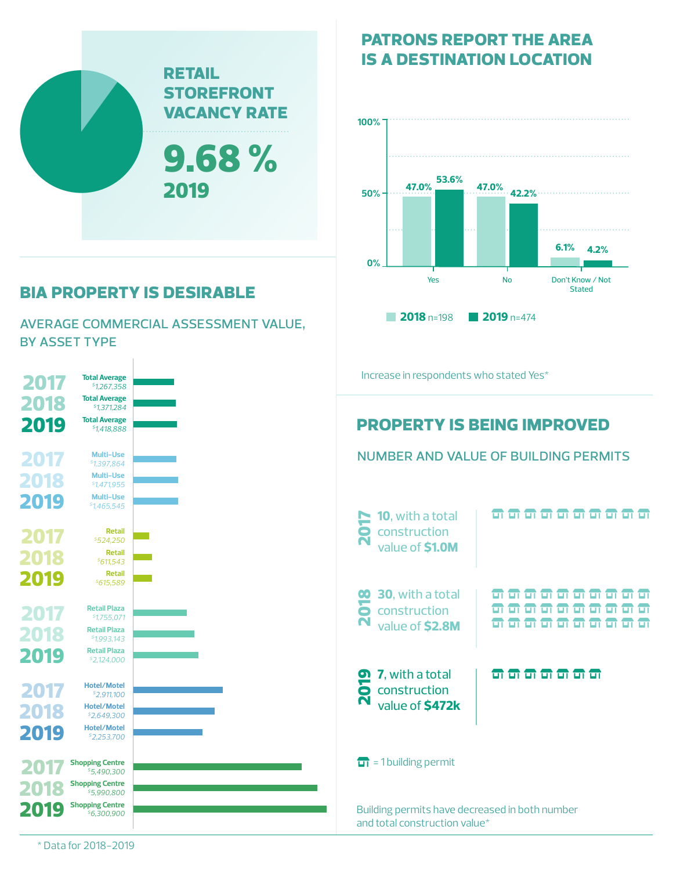

# **bia property is desirable**

average commercial assessment value, by asset type



**patrons report the area is a destination location**



\* Data for 2018-2019